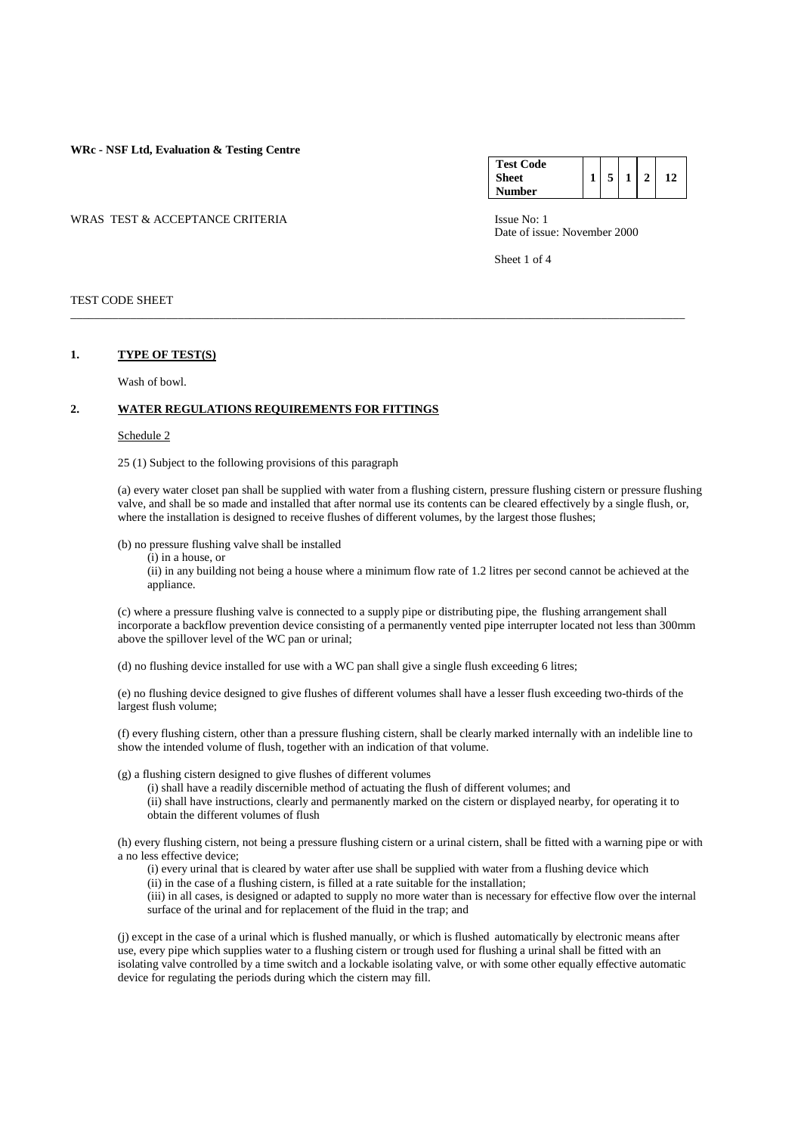**WRc - NSF Ltd, Evaluation & Testing Centre** 

| <b>Test Code</b> |   |  |  |
|------------------|---|--|--|
| Sheet            | 5 |  |  |
| Number           |   |  |  |

WRAS TEST & ACCEPTANCE CRITERIA **ISSUE NO:** 1 ISSUE No: 1

Date of issue: November 2000

Sheet 1 of 4

#### TEST CODE SHEET

#### **1. TYPE OF TEST(S)**

Wash of bowl.

#### **2. WATER REGULATIONS REQUIREMENTS FOR FITTINGS**

#### Schedule 2

25 (1) Subject to the following provisions of this paragraph

(a) every water closet pan shall be supplied with water from a flushing cistern, pressure flushing cistern or pressure flushing valve, and shall be so made and installed that after normal use its contents can be cleared effectively by a single flush, or, where the installation is designed to receive flushes of different volumes, by the largest those flushes;

\_\_\_\_\_\_\_\_\_\_\_\_\_\_\_\_\_\_\_\_\_\_\_\_\_\_\_\_\_\_\_\_\_\_\_\_\_\_\_\_\_\_\_\_\_\_\_\_\_\_\_\_\_\_\_\_\_\_\_\_\_\_\_\_\_\_\_\_\_\_\_\_\_\_\_\_\_\_\_\_\_\_\_\_\_\_\_\_\_\_\_\_\_\_\_\_\_\_\_\_\_\_\_

(b) no pressure flushing valve shall be installed

(i) in a house, or

 (ii) in any building not being a house where a minimum flow rate of 1.2 litres per second cannot be achieved at the appliance.

 (c) where a pressure flushing valve is connected to a supply pipe or distributing pipe, the flushing arrangement shall incorporate a backflow prevention device consisting of a permanently vented pipe interrupter located not less than 300mm above the spillover level of the WC pan or urinal;

(d) no flushing device installed for use with a WC pan shall give a single flush exceeding 6 litres;

(e) no flushing device designed to give flushes of different volumes shall have a lesser flush exceeding two-thirds of the largest flush volume;

(f) every flushing cistern, other than a pressure flushing cistern, shall be clearly marked internally with an indelible line to show the intended volume of flush, together with an indication of that volume.

(g) a flushing cistern designed to give flushes of different volumes

 (i) shall have a readily discernible method of actuating the flush of different volumes; and (ii) shall have instructions, clearly and permanently marked on the cistern or displayed nearby, for operating it to obtain the different volumes of flush

(h) every flushing cistern, not being a pressure flushing cistern or a urinal cistern, shall be fitted with a warning pipe or with a no less effective device;

(i) every urinal that is cleared by water after use shall be supplied with water from a flushing device which (ii) in the case of a flushing cistern, is filled at a rate suitable for the installation;

(iii) in all cases, is designed or adapted to supply no more water than is necessary for effective flow over the internal surface of the urinal and for replacement of the fluid in the trap; and

(j) except in the case of a urinal which is flushed manually, or which is flushed automatically by electronic means after use, every pipe which supplies water to a flushing cistern or trough used for flushing a urinal shall be fitted with an isolating valve controlled by a time switch and a lockable isolating valve, or with some other equally effective automatic device for regulating the periods during which the cistern may fill.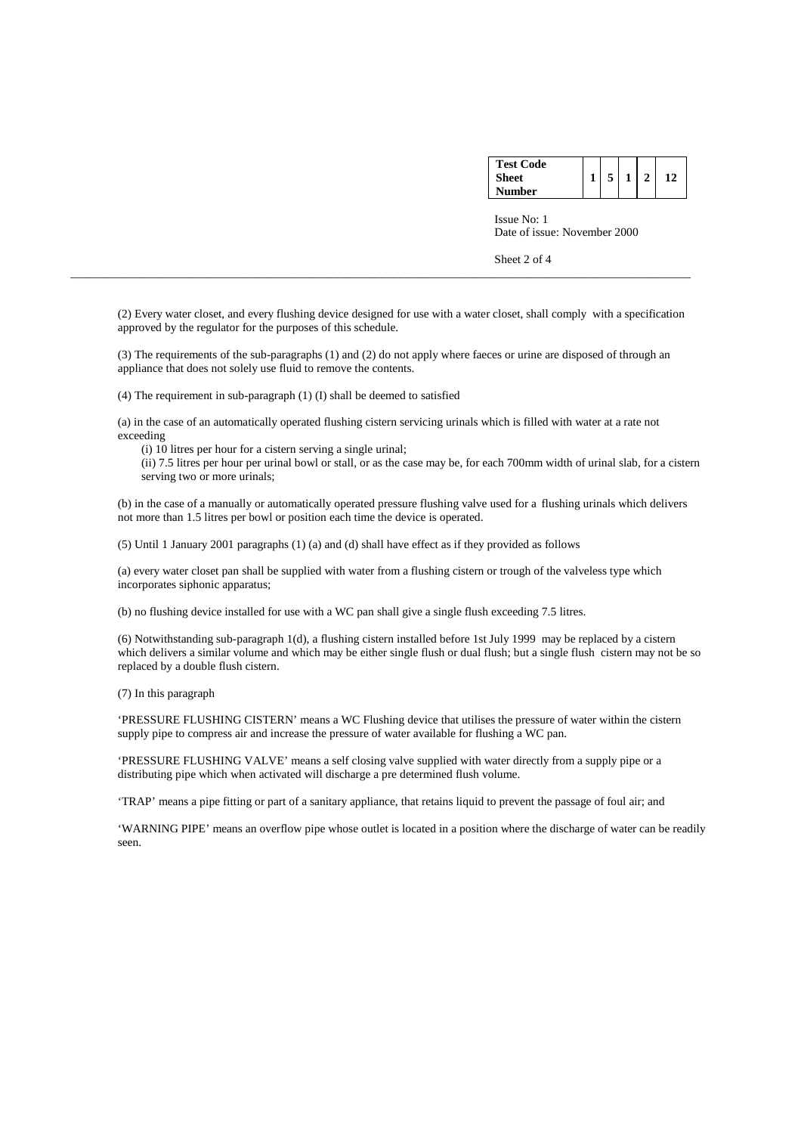| <b>Test Code</b> |  |  |  |
|------------------|--|--|--|
| Sheet            |  |  |  |
| <b>Number</b>    |  |  |  |

 Issue No: 1 Date of issue: November 2000

Sheet 2 of 4

(2) Every water closet, and every flushing device designed for use with a water closet, shall comply with a specification approved by the regulator for the purposes of this schedule.

\_\_\_\_\_\_\_\_\_\_\_\_\_\_\_\_\_\_\_\_\_\_\_\_\_\_\_\_\_\_\_\_\_\_\_\_\_\_\_\_\_\_\_\_\_\_\_\_\_\_\_\_\_\_\_\_\_\_\_\_\_\_\_\_\_\_\_\_\_\_\_\_\_\_\_\_\_\_\_\_\_\_\_\_\_\_\_\_\_\_\_\_\_\_\_\_\_\_\_\_\_\_\_\_

(3) The requirements of the sub-paragraphs (1) and (2) do not apply where faeces or urine are disposed of through an appliance that does not solely use fluid to remove the contents.

(4) The requirement in sub-paragraph (1) (I) shall be deemed to satisfied

(a) in the case of an automatically operated flushing cistern servicing urinals which is filled with water at a rate not exceeding

(i) 10 litres per hour for a cistern serving a single urinal;

 (ii) 7.5 litres per hour per urinal bowl or stall, or as the case may be, for each 700mm width of urinal slab, for a cistern serving two or more urinals;

(b) in the case of a manually or automatically operated pressure flushing valve used for a flushing urinals which delivers not more than 1.5 litres per bowl or position each time the device is operated.

(5) Until 1 January 2001 paragraphs (1) (a) and (d) shall have effect as if they provided as follows

(a) every water closet pan shall be supplied with water from a flushing cistern or trough of the valveless type which incorporates siphonic apparatus;

(b) no flushing device installed for use with a WC pan shall give a single flush exceeding 7.5 litres.

(6) Notwithstanding sub-paragraph 1(d), a flushing cistern installed before 1st July 1999 may be replaced by a cistern which delivers a similar volume and which may be either single flush or dual flush; but a single flush cistern may not be so replaced by a double flush cistern.

(7) In this paragraph

'PRESSURE FLUSHING CISTERN' means a WC Flushing device that utilises the pressure of water within the cistern supply pipe to compress air and increase the pressure of water available for flushing a WC pan.

'PRESSURE FLUSHING VALVE' means a self closing valve supplied with water directly from a supply pipe or a distributing pipe which when activated will discharge a pre determined flush volume.

'TRAP' means a pipe fitting or part of a sanitary appliance, that retains liquid to prevent the passage of foul air; and

'WARNING PIPE' means an overflow pipe whose outlet is located in a position where the discharge of water can be readily seen.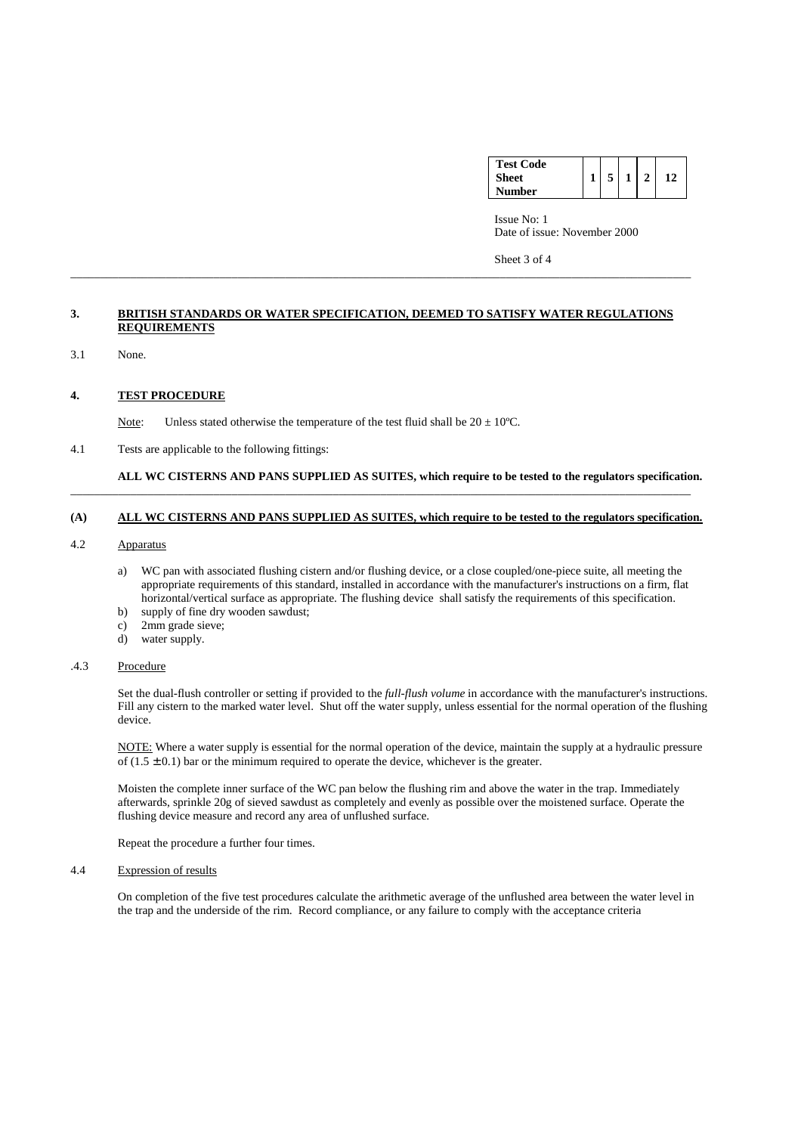| <b>Test Code</b> |                |  |  |
|------------------|----------------|--|--|
| Sheet            | 5 <sup>5</sup> |  |  |
| <b>Number</b>    |                |  |  |

 Issue No: 1 Date of issue: November 2000

Sheet 3 of 4

## **3. BRITISH STANDARDS OR WATER SPECIFICATION, DEEMED TO SATISFY WATER REGULATIONS REQUIREMENTS**

\_\_\_\_\_\_\_\_\_\_\_\_\_\_\_\_\_\_\_\_\_\_\_\_\_\_\_\_\_\_\_\_\_\_\_\_\_\_\_\_\_\_\_\_\_\_\_\_\_\_\_\_\_\_\_\_\_\_\_\_\_\_\_\_\_\_\_\_\_\_\_\_\_\_\_\_\_\_\_\_\_\_\_\_\_\_\_\_\_\_\_\_\_\_\_\_\_\_\_\_\_\_\_\_

3.1 None.

### **4. TEST PROCEDURE**

Note: Unless stated otherwise the temperature of the test fluid shall be  $20 \pm 10^{\circ}$ C.

4.1 Tests are applicable to the following fittings:

## **ALL WC CISTERNS AND PANS SUPPLIED AS SUITES, which require to be tested to the regulators specification.**

# **(A) ALL WC CISTERNS AND PANS SUPPLIED AS SUITES, which require to be tested to the regulators specification.**

\_\_\_\_\_\_\_\_\_\_\_\_\_\_\_\_\_\_\_\_\_\_\_\_\_\_\_\_\_\_\_\_\_\_\_\_\_\_\_\_\_\_\_\_\_\_\_\_\_\_\_\_\_\_\_\_\_\_\_\_\_\_\_\_\_\_\_\_\_\_\_\_\_\_\_\_\_\_\_\_\_\_\_\_\_\_\_\_\_\_\_\_\_\_\_\_\_\_\_\_\_\_\_\_

## 4.2 Apparatus

- a) WC pan with associated flushing cistern and/or flushing device, or a close coupled/one-piece suite, all meeting the appropriate requirements of this standard, installed in accordance with the manufacturer's instructions on a firm, flat horizontal/vertical surface as appropriate. The flushing device shall satisfy the requirements of this specification.
- b) supply of fine dry wooden sawdust;
- c) 2mm grade sieve;
- d) water supply.

# .4.3 Procedure

Set the dual-flush controller or setting if provided to the *full-flush volume* in accordance with the manufacturer's instructions. Fill any cistern to the marked water level. Shut off the water supply, unless essential for the normal operation of the flushing device.

NOTE: Where a water supply is essential for the normal operation of the device, maintain the supply at a hydraulic pressure of  $(1.5 \pm 0.1)$  bar or the minimum required to operate the device, whichever is the greater.

Moisten the complete inner surface of the WC pan below the flushing rim and above the water in the trap. Immediately afterwards, sprinkle 20g of sieved sawdust as completely and evenly as possible over the moistened surface. Operate the flushing device measure and record any area of unflushed surface.

Repeat the procedure a further four times.

## 4.4 Expression of results

On completion of the five test procedures calculate the arithmetic average of the unflushed area between the water level in the trap and the underside of the rim. Record compliance, or any failure to comply with the acceptance criteria